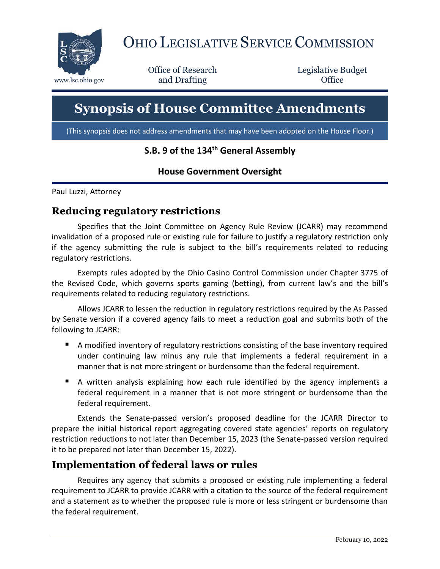

# OHIO LEGISLATIVE SERVICE COMMISSION

Office of Research www.lsc.ohio.gov **and Drafting Office** 

Legislative Budget

# **Synopsis of House Committee Amendments**

(This synopsis does not address amendments that may have been adopted on the House Floor.)

# **S.B. 9 of the 134th General Assembly**

#### **House Government Oversight**

Paul Luzzi, Attorney

#### **Reducing regulatory restrictions**

Specifies that the Joint Committee on Agency Rule Review (JCARR) may recommend invalidation of a proposed rule or existing rule for failure to justify a regulatory restriction only if the agency submitting the rule is subject to the bill's requirements related to reducing regulatory restrictions.

Exempts rules adopted by the Ohio Casino Control Commission under Chapter 3775 of the Revised Code, which governs sports gaming (betting), from current law's and the bill's requirements related to reducing regulatory restrictions.

Allows JCARR to lessen the reduction in regulatory restrictions required by the As Passed by Senate version if a covered agency fails to meet a reduction goal and submits both of the following to JCARR:

- A modified inventory of regulatory restrictions consisting of the base inventory required under continuing law minus any rule that implements a federal requirement in a manner that is not more stringent or burdensome than the federal requirement.
- A written analysis explaining how each rule identified by the agency implements a federal requirement in a manner that is not more stringent or burdensome than the federal requirement.

Extends the Senate-passed version's proposed deadline for the JCARR Director to prepare the initial historical report aggregating covered state agencies' reports on regulatory restriction reductions to not later than December 15, 2023 (the Senate-passed version required it to be prepared not later than December 15, 2022).

#### **Implementation of federal laws or rules**

Requires any agency that submits a proposed or existing rule implementing a federal requirement to JCARR to provide JCARR with a citation to the source of the federal requirement and a statement as to whether the proposed rule is more or less stringent or burdensome than the federal requirement.